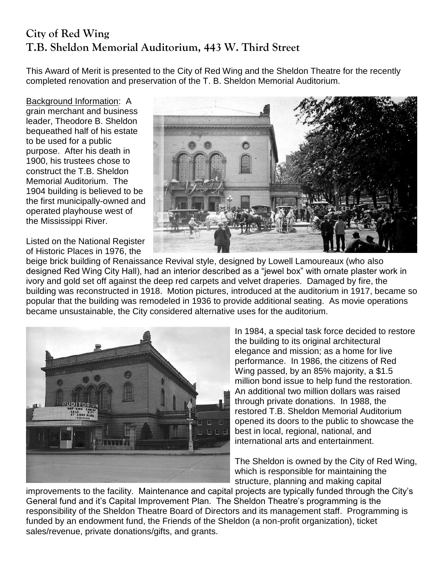## **City of Red Wing T.B. Sheldon Memorial Auditorium, 443 W. Third Street**

This Award of Merit is presented to the City of Red Wing and the Sheldon Theatre for the recently completed renovation and preservation of the T. B. Sheldon Memorial Auditorium.

Background Information: A grain merchant and business leader, Theodore B. Sheldon bequeathed half of his estate to be used for a public purpose. After his death in 1900, his trustees chose to construct the T.B. Sheldon Memorial Auditorium. The 1904 building is believed to be the first municipally-owned and operated playhouse west of the Mississippi River.

Listed on the National Register of Historic Places in 1976, the



beige brick building of Renaissance Revival style, designed by Lowell Lamoureaux (who also designed Red Wing City Hall), had an interior described as a "jewel box" with ornate plaster work in ivory and gold set off against the deep red carpets and velvet draperies. Damaged by fire, the building was reconstructed in 1918. Motion pictures, introduced at the auditorium in 1917, became so popular that the building was remodeled in 1936 to provide additional seating. As movie operations became unsustainable, the City considered alternative uses for the auditorium.



In 1984, a special task force decided to restore the building to its original architectural elegance and mission; as a home for live performance. In 1986, the citizens of Red Wing passed, by an 85% majority, a \$1.5 million bond issue to help fund the restoration. An additional two million dollars was raised through private donations. In 1988, the restored T.B. Sheldon Memorial Auditorium opened its doors to the public to showcase the best in local, regional, national, and international arts and entertainment.

The Sheldon is owned by the City of Red Wing, which is responsible for maintaining the structure, planning and making capital

improvements to the facility. Maintenance and capital projects are typically funded through the City's General fund and it's Capital Improvement Plan. The Sheldon Theatre's programming is the responsibility of the Sheldon Theatre Board of Directors and its management staff. Programming is funded by an endowment fund, the Friends of the Sheldon (a non-profit organization), ticket sales/revenue, private donations/gifts, and grants.